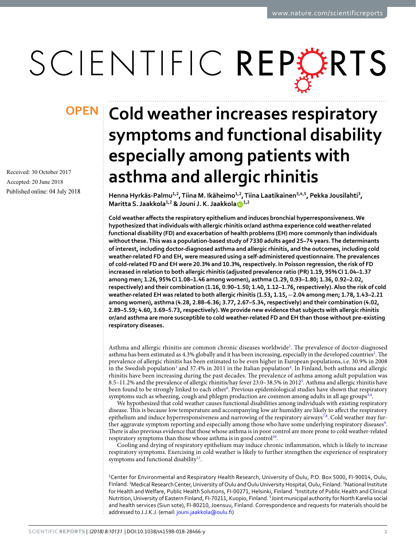# SCIENTIFIC REPERTS

Received: 30 October 2017 Accepted: 20 June 2018 Published online: 04 July 2018

## **Cold weather increases respiratory OPENsymptoms and functional disability especially among patients with asthma and allergic rhinitis**

**Henna Hyrkäs-Palmu1,2, Tiina M. Ikäheimo1,2, Tiina Laatikainen3,4,5, Pekka Jousilahti3, Maritta S. Jaakkola1,2 & Jouni J. K. Jaakkola 1,2**

**Cold weather afects the respiratory epithelium and induces bronchial hyperresponsiveness. We hypothesized that individuals with allergic rhinitis or/and asthma experience cold weather-related functional disability (FD) and exacerbation of health problems (EH) more commonly than individuals without these. This was a population-based study of 7330 adults aged 25–74 years. The determinants of interest, including doctor-diagnosed asthma and allergic rhinitis, and the outcomes, including cold weather-related FD and EH, were measured using a self-administered questionnaire. The prevalences of cold-related FD and EH were 20.3% and 10.3%, respectively. In Poisson regression, the risk of FD increased in relation to both allergic rhinitis (adjusted prevalence ratio (PR) 1.19, 95% CI 1.04–1.37 among men; 1.26, 95% CI 1.08–1.46 among women), asthma (1.29, 0.93–1.80; 1.36, 0.92–2.02, respectively) and their combination (1.16, 0.90–1.50; 1.40, 1.12–1.76, respectively). Also the risk of cold weather-related EH was related to both allergic rhinitis (1.53, 1.15,−2.04 among men; 1.78, 1.43–2.21 among women), asthma (4.28, 2.88–6.36; 3.77, 2.67–5.34, respectively) and their combination (4.02, 2.89–5.59; 4.60, 3.69–5.73, respectively). We provide new evidence that subjects with allergic rhinitis or/and asthma are more susceptible to cold weather-related FD and EH than those without pre-existing respiratory diseases.**

Asthma and allergic rhinitis are common chronic diseases worldwide<sup>[1](#page-6-0)</sup>. The prevalence of doctor-diagnosed asthma has been estimated as 4.3% globally and it has been increasing, especially in the developed countries<sup>[2](#page-6-1)</sup>. The prevalence of allergic rhinitis has been estimated to be even higher in European populations, i.e. 30.9% in 2008 in the Swedish population<sup>[3](#page-6-2)</sup> and 37.4% in 2011 in the Italian population<sup>4</sup>. In Finland, both asthma and allergic rhinitis have been increasing during the past decades. The prevalence of asthma among adult population was 8.5–11.2% and the prevalence of allergic rhinitis/hay fever 23.0–38.5% in 2012<sup>5</sup>. Asthma and allergic rhinitis have been found to be strongly linked to each other<sup>6</sup>. Previous epidemiological studies have shown that respiratory symptoms such as wheezing, cough and phlegm production are common among adults in all age groups $^{3,4}$  $^{3,4}$  $^{3,4}$  $^{3,4}$  $^{3,4}$ .

We hypothesized that cold weather causes functional disabilities among individuals with existing respiratory disease. This is because low temperature and accompanying low air humidity are likely to affect the respiratory epithelium and induce hyperresponsiveness and narrowing of the respiratory airways<sup>7[,8](#page-6-7)</sup>. Cold weather may fur-ther aggravate symptom reporting and especially among those who have some underlying respiratory diseases<sup>[9](#page-6-8)</sup>. There is also previous evidence that those whose asthma is in poor control are more prone to cold weather-related respiratory symptoms than those whose asthma is in good control<sup>10</sup>.

Cooling and drying of respiratory epithelium may induce chronic infammation, which is likely to increase respiratory symptoms. Exercising in cold weather is likely to further strengthen the experience of respiratory symptoms and functional disability $11$ .

1Center for Environmental and Respiratory Health Research, University of Oulu, P.O. Box 5000, FI-90014, Oulu, Finland. <sup>2</sup>Medical Research Center, University of Oulu and Oulu University Hospital, Oulu, Finland. <sup>3</sup>National Institute for Health and Welfare, Public Health Solutions, FI-00271, Helsinki, Finland. 4 Institute of Public Health and Clinical Nutrition, University of Eastern Finland, FI-70211, Kuopio, Finland. <sup>5</sup>Joint municipal authority for North Karelia social and health services (Siun sote), FI-80210, Joensuu, Finland. Correspondence and requests for materials should be addressed to J.J.K.J. (email: [jouni.jaakkola@oulu.f](mailto:jouni.jaakkola@oulu.fi)i)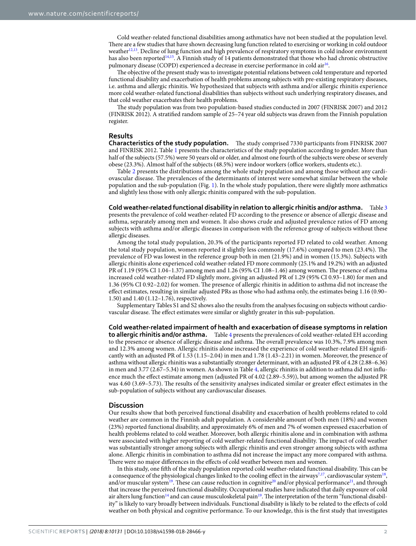Cold weather-related functional disabilities among asthmatics have not been studied at the population level. There are a few studies that have shown decreasing lung function related to exercising or working in cold outdoor weather<sup>12,13</sup>. Decline of lung function and high prevalence of respiratory symptoms in cold indoor environment has also been reported<sup>14,15</sup>. A Finnish study of 14 patients demonstrated that those who had chronic obstructive pulmonary disease (COPD) experienced a decrease in exercise performance in cold air[16](#page-6-15).

The objective of the present study was to investigate potential relations between cold temperature and reported functional disability and exacerbation of health problems among subjects with pre-existing respiratory diseases, i.e. asthma and allergic rhinitis. We hypothesized that subjects with asthma and/or allergic rhinitis experience more cold weather-related functional disabilities than subjects without such underlying respiratory diseases, and that cold weather exacerbates their health problems.

The study population was from two population-based studies conducted in 2007 (FINRISK 2007) and 2012 (FINRISK 2012). A stratifed random sample of 25–74 year old subjects was drawn from the Finnish population register.

#### **Results**

**Characteristics of the study population.** The study comprised 7330 participants from FINRISK 2007 and FINRISK 2012. Table [1](#page-2-0) presents the characteristics of the study population according to gender. More than half of the subjects (57.5%) were 50 years old or older, and almost one fourth of the subjects were obese or severely obese (23.3%). Almost half of the subjects (48.5%) were indoor workers (office workers, students etc.).

Table [2](#page-3-0) presents the distributions among the whole study population and among those without any cardiovascular disease. The prevalences of the determinants of interest were somewhat similar between the whole population and the sub-population (Fig. [1](#page-4-0)). In the whole study population, there were slightly more asthmatics and slightly less those with only allergic rhinitis compared with the sub-population.

**Cold weather-related functional disability in relation to allergic rhinitis and/or asthma.** Table [3](#page-5-0) presents the prevalence of cold weather-related FD according to the presence or absence of allergic disease and asthma, separately among men and women. It also shows crude and adjusted prevalence ratios of FD among subjects with asthma and/or allergic diseases in comparison with the reference group of subjects without these allergic diseases.

Among the total study population, 20.3% of the participants reported FD related to cold weather. Among the total study population, women reported it slightly less commonly (17.6%) compared to men (23.4%). The prevalence of FD was lowest in the reference group both in men (21.9%) and in women (15.3%). Subjects with allergic rhinitis alone experienced cold weather-related FD more commonly (25.1% and 19.2%) with an adjusted PR of 1.19 (95% CI 1.04–1.37) among men and 1.26 (95% CI 1.08–1.46) among women. The presence of asthma increased cold weather-related FD slightly more, giving an adjusted PR of 1.29 (95% CI 0.93–1.80) for men and 1.36 (95% CI 0.92–2.02) for women. Te presence of allergic rhinitis in addition to asthma did not increase the efect estimates, resulting in similar adjusted PRs as those who had asthma only, the estimates being 1.16 (0.90– 1.50) and 1.40 (1.12–1.76), respectively.

Supplementary Tables S1 and S2 shows also the results from the analyses focusing on subjects without cardiovascular disease. The effect estimates were similar or slightly greater in this sub-population.

**Cold weather-related impairment of health and exacerbation of disease symptoms in relation to allergic rhinitis and/or asthma.** Table [4](#page-5-1) presents the prevalences of cold weather-related EH according to the presence or absence of allergic disease and asthma. The overall prevalence was 10.3%, 7.9% among men and 12.3% among women. Allergic rhinitis alone increased the experience of cold weather-related EH signifcantly with an adjusted PR of 1.53 (1.15–2.04) in men and 1.78 (1.43–2.21) in women. Moreover, the presence of asthma without allergic rhinitis was a substantially stronger determinant, with an adjusted PR of 4.28 (2.88–6.36) in men and 3.77 (2.67–5.34) in women. As shown in Table [4,](#page-5-1) allergic rhinitis in addition to asthma did not infuence much the efect estimate among men (adjusted PR of 4.02 (2.89–5.59)), but among women the adjusted PR was 4.60 (3.69–5.73). The results of the sensitivity analyses indicated similar or greater effect estimates in the sub-population of subjects without any cardiovascular diseases.

#### **Discussion**

Our results show that both perceived functional disability and exacerbation of health problems related to cold weather are common in the Finnish adult population. A considerable amount of both men (18%) and women (23%) reported functional disability, and approximately 6% of men and 7% of women expressed exacerbation of health problems related to cold weather. Moreover, both allergic rhinitis alone and in combination with asthma were associated with higher reporting of cold weather-related functional disability. The impact of cold weather was substantially stronger among subjects with allergic rhinitis and even stronger among subjects with asthma alone. Allergic rhinitis in combination to asthma did not increase the impact any more compared with asthma. There were no major differences in the effects of cold weather between men and women.

In this study, one ffh of the study population reported cold weather-related functional disability. Tis can be a consequence of the physiological changes linked to the cooling effect in the airways<sup>7,17</sup>, cardiovascular system<sup>18</sup>, and/or muscular system<sup>19</sup>. These can cause reduction in cognitive<sup>20</sup> and/or physical performance<sup>21</sup>, and through that increase the perceived functional disability. Occupational studies have indicated that daily exposure of cold air alters lung function<sup>14</sup> and can cause musculoskeletal pain<sup>19</sup>. The interpretation of the term "functional disability" is likely to vary broadly between individuals. Functional disability is likely to be related to the efects of cold weather on both physical and cognitive performance. To our knowledge, this is the frst study that investigates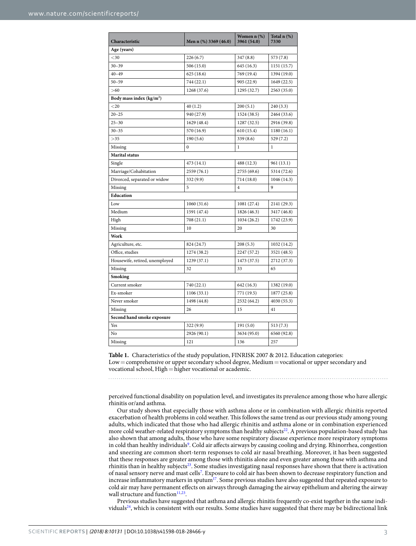<span id="page-2-0"></span>

|                                |                            | Women $n$ $%$ | Total $n$ $(\%)$ |  |  |  |  |
|--------------------------------|----------------------------|---------------|------------------|--|--|--|--|
| Characteristic                 | Men n (%) 3369 (46.0)      | 3961 (54.0)   | 7330             |  |  |  |  |
| Age (years)                    |                            |               |                  |  |  |  |  |
| $<$ 30                         | 226(6.7)<br>347(8.8)       |               | 573 (7.8)        |  |  |  |  |
| $30 - 39$                      | 506 (15.0)                 | 645 (16.3)    | 1151 (15.7)      |  |  |  |  |
| $40 - 49$                      | 625(18.6)                  | 769 (19.4)    | 1394 (19.0)      |  |  |  |  |
| $50 - 59$                      | 744 (22.1)                 | 905 (22.9)    | 1649 (22.5)      |  |  |  |  |
| > 60                           | 1268 (37.6)                | 1295 (32.7)   | 2563 (35.0)      |  |  |  |  |
| Body mass index $(kg/m2)$      |                            |               |                  |  |  |  |  |
| $<$ 20                         | 40(1.2)                    | 200(5.1)      | 240(3.3)         |  |  |  |  |
| $20 - 25$                      | 940 (27.9)                 | 1524 (38.5)   | 2464 (33.6)      |  |  |  |  |
| $25 - 30$                      | 1629 (48.4)                | 1287 (32.5)   | 2916 (39.8)      |  |  |  |  |
| $30 - 35$                      | 570 (16.9)                 | 610 (15.4)    | 1180 (16.1)      |  |  |  |  |
| >35                            | 190(5.6)                   | 339 (8.6)     | 529(7.2)         |  |  |  |  |
| Missing                        | $\bf{0}$                   | 1             | 1                |  |  |  |  |
| <b>Marital status</b>          |                            |               |                  |  |  |  |  |
| Single                         | 473 (14.1)                 | 488 (12.3)    | 961 (13.1)       |  |  |  |  |
| Marriage/Cohabitation          | 2559 (76.1)                | 2755 (69.6)   | 5314 (72.6)      |  |  |  |  |
| Divorced, separated or widow   | 332 (9.9)                  | 714 (18.0)    | 1046 (14.3)      |  |  |  |  |
| Missing                        | 5                          | 4             | 9                |  |  |  |  |
| Education                      |                            |               |                  |  |  |  |  |
| Low                            | 1060 (31.6)                | 1081 (27.4)   | 2141 (29.3)      |  |  |  |  |
| Medium                         | 1591 (47.4)                | 1826 (46.3)   | 3417 (46.8)      |  |  |  |  |
| High                           | 708 (21.1)                 | 1034 (26.2)   | 1742 (23.9)      |  |  |  |  |
| Missing                        | 10                         | 20            | 30               |  |  |  |  |
| Work                           |                            |               |                  |  |  |  |  |
| Agriculture, etc.              | 824 (24.7)                 | 208(5.3)      | 1032 (14.2)      |  |  |  |  |
| Office, studies                | 1274 (38.2)                | 2247 (57.2)   | 3521 (48.5)      |  |  |  |  |
| Housewife, retired, unemployed | 1239 (37.1)                | 1473 (37.5)   |                  |  |  |  |  |
| Missing                        | 32                         | 33            | 65               |  |  |  |  |
| Smoking                        |                            |               |                  |  |  |  |  |
| Current smoker                 | 740 (22.1)                 | 642 (16.3)    | 1382 (19.0)      |  |  |  |  |
| Ex-smoker                      | 1106(33.1)                 | 771 (19.5)    | 1877 (25.8)      |  |  |  |  |
| Never smoker                   | 1498 (44.8)<br>2532 (64.2) |               | 4030 (55.3)      |  |  |  |  |
| Missing                        | 26                         | 15            | 41               |  |  |  |  |
| Second hand smoke exposure     |                            |               |                  |  |  |  |  |
| Yes                            | 322(9.9)                   | 191(5.0)      | 513 (7.3)        |  |  |  |  |
| No                             | 2926 (90.1)                | 3634 (95.0)   | 6560 (92.8)      |  |  |  |  |
| Missing                        | 121                        | 136           | 257              |  |  |  |  |

**Table 1.** Characteristics of the study population, FINRISK 2007 & 2012. Education categories: Low=comprehensive or upper secondary school degree, Medium=vocational or upper secondary and vocational school, High=higher vocational or academic.

perceived functional disability on population level, and investigates its prevalence among those who have allergic rhinitis or/and asthma.

Our study shows that especially those with asthma alone or in combination with allergic rhinitis reported exacerbation of health problems in cold weather. Tis follows the same trend as our previous study among young adults, which indicated that those who had allergic rhinitis and asthma alone or in combination experienced more cold weather-related respiratory symptoms than healthy subjects<sup>22</sup>. A previous population-based study has also shown that among adults, those who have some respiratory disease experience more respiratory symptoms in cold than healthy individuals<sup>9</sup>. Cold air affects airways by causing cooling and drying. Rhinorrhea, congestion and sneezing are common short-term responses to cold air nasal breathing. Moreover, it has been suggested that these responses are greater among those with rhinitis alone and even greater among those with asthma and rhinitis than in healthy subject[s23.](#page-6-22) Some studies investigating nasal responses have shown that there is activation of nasal sensory nerve and mast cells<sup>[7](#page-6-6)</sup>. Exposure to cold air has been shown to decrease respiratory function and increase inflammatory markers in sputum<sup>[17](#page-6-16)</sup>. Some previous studies have also suggested that repeated exposure to cold air may have permanent efects on airways through damaging the airway epithelium and altering the airway wall structure and function $11,23$  $11,23$ .

Previous studies have suggested that asthma and allergic rhinitis frequently co-exist together in the same indi-viduals<sup>[24](#page-6-23)</sup>, which is consistent with our results. Some studies have suggested that there may be bidirectional link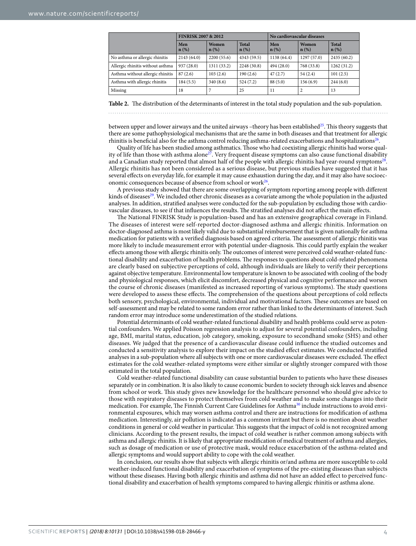<span id="page-3-0"></span>

|                                  | <b>FINRISK 2007 &amp; 2012</b> |                         |                         | No cardiovascular diseases |                           |                                  |
|----------------------------------|--------------------------------|-------------------------|-------------------------|----------------------------|---------------------------|----------------------------------|
|                                  | Men<br>$\mathbf{n}(\%)$        | <b>Women</b><br>$n(\%)$ | <b>Total</b><br>$n(\%)$ | Men<br>$n(\%)$             | Women<br>$\mathbf{n}(\%)$ | <b>Total</b><br>$\mathbf{n}(\%)$ |
| No asthma or allergic rhinitis   | 2143(64.0)                     | 2200 (55.6)             | 4343 (59.5)             | 1138 (64.4)                | 1297(57.0)                | 2435(60.2)                       |
| Allergic rhinitis without asthma | 937(28.0)                      | 1311 (33.2)             | 2248 (30.8)             | 494(28.0)                  | 768 (33.8)                | 1262(31.2)                       |
| Asthma without allergic rhinitis | 87(2.6)                        | 103(2.6)                | 190(2.6)                | 47(2.7)                    | 54(2.4)                   | 101(2.5)                         |
| Asthma with allergic rhinitis    | 184(5.5)                       | 340(8.6)                | 524(7.2)                | 88 (5.0)                   | 156(6.9)                  | 244(6.0)                         |
| Missing                          | 18                             |                         | 25                      | 11                         | $\overline{2}$            | 13                               |

**Table 2.** The distribution of the determinants of interest in the total study population and the sub-population.

between upper and lower airways and the united airways –theory has been established<sup>25</sup>. This theory suggests that there are some pathophysiological mechanisms that are the same in both diseases and that treatment for allergic rhinitis is beneficial also for the asthma control reducing asthma-related exacerbations and hospitalizations<sup>[26](#page-6-25)</sup>.

Quality of life has been studied among asthmatics. Those who had coexisting allergic rhinitis had worse quality of life than those with asthma alone<sup>27</sup>. Very frequent disease symptoms can also cause functional disability and a Canadian study reported that almost half of the people with allergic rhinitis had year-round symptoms<sup>28</sup>. Allergic rhinitis has not been considered as a serious disease, but previous studies have suggested that it has several efects on everyday life, for example it may cause exhaustion during the day, and it may also have socioeconomic consequences because of absence from school or work $26$ .

A previous study showed that there are some overlapping of symptom reporting among people with diferent kinds of diseases<sup>[29](#page-6-28)</sup>. We included other chronic diseases as a covariate among the whole population in the adjusted analyses. In addition, stratifed analyses were conducted for the sub-population by excluding those with cardiovascular diseases, to see if that influences the results. The stratified analyses did not affect the main effects.

The National FINRISK Study is population-based and has an extensive geographical coverage in Finland. The diseases of interest were self-reported doctor-diagnosed asthma and allergic rhinitis. Information on doctor-diagnosed asthma is most likely valid due to substantial reimbursement that is given nationally for asthma medication for patients with a verified diagnosis based on agreed criteria. The assessment of allergic rhinitis was more likely to include measurement error with potential under-diagnosis. Tis could partly explain the weaker effects among those with allergic rhinitis only. The outcomes of interest were perceived cold weather-related functional disability and exacerbation of health problems. The responses to questions about cold-related phenomena are clearly based on subjective perceptions of cold, although individuals are likely to verify their perceptions against objective temperature. Environmental low temperature is known to be associated with cooling of the body and physiological responses, which elicit discomfort, decreased physical and cognitive performance and worsen the course of chronic diseases (manifested as increased reporting of various symptoms). The study questions were developed to assess these effects. The comprehension of the questions about perceptions of cold reflects both sensory, psychological, environmental, individual and motivational factors. These outcomes are based on self-assessment and may be related to some random error rather than linked to the determinants of interest. Such random error may introduce some underestimation of the studied relations.

Potential determinants of cold weather-related functional disability and health problems could serve as potential confounders. We applied Poisson regression analysis to adjust for several potential confounders, including age, BMI, marital status, education, job category, smoking, exposure to secondhand smoke (SHS) and other diseases. We judged that the presence of a cardiovascular disease could infuence the studied outcomes and conducted a sensitivity analysis to explore their impact on the studied efect estimates. We conducted stratifed analyses in a sub-population where all subjects with one or more cardiovascular diseases were excluded. The effect estimates for the cold weather-related symptoms were either similar or slightly stronger compared with those estimated in the total population.

Cold weather-related functional disability can cause substantial burden to patients who have these diseases separately or in combination. It is also likely to cause economic burden to society through sick leaves and absence from school or work. This study gives new knowledge for the healthcare personnel who should give advice to those with respiratory diseases to protect themselves from cold weather and to make some changes into their medication. For example, The Finnish Current Care Guidelines for Asthma<sup>30</sup> include instructions to avoid environmental exposures, which may worsen asthma control and there are instructions for modifcation of asthma medication. Interestingly, air pollution is indicated as a common irritant but there is no mention about weather conditions in general or cold weather in particular. This suggests that the impact of cold is not recognized among clinicians. According to the present results, the impact of cold weather is rather common among subjects with asthma and allergic rhinitis. It is likely that appropriate modifcation of medical treatment of asthma and allergies, such as dosage of medication or use of protective mask, would reduce exacerbation of the asthma-related and allergic symptoms and would support ability to cope with the cold weather.

In conclusion, our results show that subjects with allergic rhinitis or/and asthma are more susceptible to cold weather-induced functional disability and exacerbation of symptoms of the pre-existing diseases than subjects without these diseases. Having both allergic rhinitis and asthma did not have an added efect to perceived functional disability and exacerbation of health symptoms compared to having allergic rhinitis or asthma alone.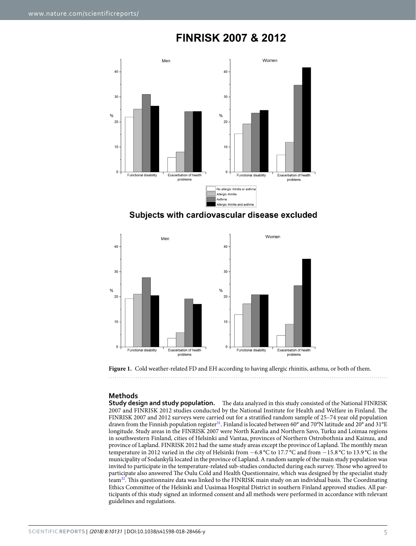### **FINRISK 2007 & 2012**



#### Subjects with cardiovascular disease excluded



<span id="page-4-0"></span>**Figure 1.** Cold weather-related FD and EH according to having allergic rhinitis, asthma, or both of them.

#### **Methods**

**Study design and study population.** The data analyzed in this study consisted of the National FINRISK 2007 and FINRISK 2012 studies conducted by the National Institute for Health and Welfare in Finland. The FINRISK 2007 and 2012 surveys were carried out for a stratifed random sample of 25–74 year old population drawn from the Finnish population register<sup>31</sup>. Finland is located between 60° and 70°N latitude and 20° and 31°E longitude. Study areas in the FINRISK 2007 were North Karelia and Northern Savo, Turku and Loimaa regions in southwestern Finland, cities of Helsinki and Vantaa, provinces of Northern Ostrobothnia and Kainuu, and province of Lapland. FINRISK 2012 had the same study areas except the province of Lapland. The monthly mean temperature in 2012 varied in the city of Helsinki from −6.8 °C to 17.7 °C and from −15.8 °C to 13.9 °C in the municipality of Sodankylä located in the province of Lapland. A random sample of the main study population was invited to participate in the temperature-related sub-studies conducted during each survey. Tose who agreed to participate also answered The Oulu Cold and Health Questionnaire, which was designed by the specialist study team<sup>32</sup>. This questionnaire data was linked to the FINRISK main study on an individual basis. The Coordinating Ethics Committee of the Helsinki and Uusimaa Hospital District in southern Finland approved studies. All participants of this study signed an informed consent and all methods were performed in accordance with relevant guidelines and regulations.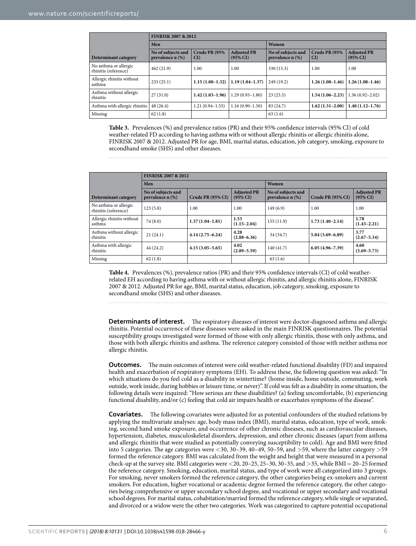<span id="page-5-0"></span>

|                                               | <b>FINRISK 2007 &amp; 2012</b>              |                      |                                           |                                             |                     |                                           |  |  |
|-----------------------------------------------|---------------------------------------------|----------------------|-------------------------------------------|---------------------------------------------|---------------------|-------------------------------------------|--|--|
|                                               | Men                                         |                      |                                           | <b>Women</b>                                |                     |                                           |  |  |
| Determinant category                          | No of subjects and<br>prevalence $n$ $(\%)$ | Crude PR (95%<br>CI) | <b>Adjusted PR</b><br>$(95\% \text{ CI})$ | No of subjects and<br>prevalence $n$ $(\%)$ | Crude PR (95%<br>CI | <b>Adjusted PR</b><br>$(95\% \text{ CI})$ |  |  |
| No asthma or allergic<br>rhinitis (reference) | 462(21.9)                                   | 1.00                 | 1.00                                      | 330 (15.3)                                  | 1.00                | 1.00                                      |  |  |
| Allergic rhinitis without<br>asthma           | 233(25.1)                                   | $1.15(1.00-1.32)$    | $1.19(1.04-1.37)$                         | 249 (19.2)                                  | $1.26(1.08-1.46)$   | $1.26(1.08-1.46)$                         |  |  |
| Asthma without allergic<br>rhinitis           | 27(31.0)                                    | $1.42(1.03 - 1.96)$  | $1.29(0.93 - 1.80)$                       | 23(23.5)                                    | $1.54(1.06-2.23)$   | $1.36(0.92 - 2.02)$                       |  |  |
| Asthma with allergic rhinitis                 | 48(26.4)                                    | $1.21(0.94 - 1.55)$  | $1.16(0.90 - 1.50)$                       | 83 (24.7)                                   | $1.62(1.31 - 2.00)$ | $1.40(1.12 - 1.76)$                       |  |  |
| Missing                                       | 62(1.8)                                     |                      |                                           | 63(1.6)                                     |                     |                                           |  |  |

**Table 3.** Prevalences (%) and prevalence ratios (PR) and their 95% confdence intervals (95% CI) of cold weather-related FD according to having asthma with or without allergic rhinitis or allergic rhinitis alone, FINRISK 2007 & 2012. Adjusted PR for age, BMI, marital status, education, job category, smoking, exposure to secondhand smoke (SHS) and other diseases.

<span id="page-5-1"></span>

|                                               | <b>FINRISK 2007 &amp; 2012</b>              |                     |                                           |                                             |                     |                                           |  |  |
|-----------------------------------------------|---------------------------------------------|---------------------|-------------------------------------------|---------------------------------------------|---------------------|-------------------------------------------|--|--|
|                                               | Men                                         |                     |                                           | <b>Women</b>                                |                     |                                           |  |  |
| Determinant category                          | No of subjects and<br>prevalence $n$ $(\%)$ | Crude PR (95% CI)   | <b>Adjusted PR</b><br>$(95\% \text{ CI})$ | No of subjects and<br>prevalence $n$ $(\%)$ | Crude PR (95% CI)   | <b>Adjusted PR</b><br>$(95\% \text{ CI})$ |  |  |
| No asthma or allergic<br>rhinitis (reference) | 123(5.8)                                    | 1.00                | 1.00                                      | 149(6.9)                                    | 1.00                | 1.00                                      |  |  |
| Allergic rhinitis without<br>asthma           | 74(8.0)                                     | $1.37(1.04-1.81)$   | 1.53<br>$(1.15 - 2.04)$                   | 155(11.9)                                   | $1.73(1.40-2.14)$   | 1.78<br>$(1.43 - 2.21)$                   |  |  |
| Asthma without allergic<br>rhinitis           | 21(24.1)                                    | $4.14(2.75-6.24)$   | 4.28<br>$(2.88 - 6.36)$                   | 34 (34.7)                                   | $5.04(3.69 - 6.89)$ | 3.77<br>$(2.67 - 5.34)$                   |  |  |
| Asthma with allergic<br>rhinitis              | 44 (24.2)                                   | $4.15(3.05 - 5.65)$ | 4.02<br>$(2.89 - 5.59)$                   | 140(41.7)                                   | $6.05(4.96 - 7.39)$ | 4.60<br>$(3.69 - 5.73)$                   |  |  |
| Missing                                       | 62(1.8)                                     |                     |                                           | 63(1.6)                                     |                     |                                           |  |  |

**Table 4.** Prevalences (%), prevalence ratios (PR) and their 95% confdence intervals (CI) of cold weatherrelated EH according to having asthma with or without allergic rhinitis, and allergic rhinitis alone, FINRISK 2007 & 2012. Adjusted PR for age, BMI, marital status, education, job category, smoking, exposure to secondhand smoke (SHS) and other diseases.

**Determinants of interest.** The respiratory diseases of interest were doctor-diagnosed asthma and allergic rhinitis. Potential occurrence of these diseases were asked in the main FINRISK questionnaires. The potential susceptibility groups investigated were formed of those with only allergic rhinitis, those with only asthma, and those with both allergic rhinitis and asthma. The reference category consisted of those with neither asthma nor allergic rhinitis.

**Outcomes.** The main outcomes of interest were cold weather-related functional disability (FD) and impaired health and exacerbation of respiratory symptoms (EH). To address these, the following question was asked: "In which situations do you feel cold as a disability in wintertime? (home inside, home outside, commuting, work outside, work inside, during hobbies or leisure time, or never)". If cold was felt as a disability in some situation, the following details were inquired: "How serious are these disabilities? (a) feeling uncomfortable, (b) experiencing functional disability, and/or (c) feeling that cold air impairs health or exacerbates symptoms of the disease".

**Covariates.** The following covariates were adjusted for as potential confounders of the studied relations by applying the multivariate analyses: age, body mass index (BMI), marital status, education, type of work, smoking, second hand smoke exposure, and occurrence of other chronic diseases, such as cardiovascular diseases, hypertension, diabetes, musculoskeletal disorders, depression, and other chronic diseases (apart from asthma and allergic rhinitis that were studied as potentially conveying susceptibility to cold). Age and BMI were ftted into 5 categories. The age categories were <30, 30–39, 40–49, 50–59, and >59, where the latter category >59 formed the reference category. BMI was calculated from the weight and height that were measured in a personal check-up at the survey site. BMI categories were <20, 20–25, 25–30, 30–35, and >35, while BMI=20–25 formed the reference category. Smoking, education, marital status, and type of work were all categorized into 3 groups. For smoking, never smokers formed the reference category, the other categories being ex-smokers and current smokers. For education, higher vocational or academic degree formed the reference category, the other categories being comprehensive or upper secondary school degree, and vocational or upper secondary and vocational school degrees. For marital status, cohabitation/married formed the reference category, while single or separated, and divorced or a widow were the other two categories. Work was categorized to capture potential occupational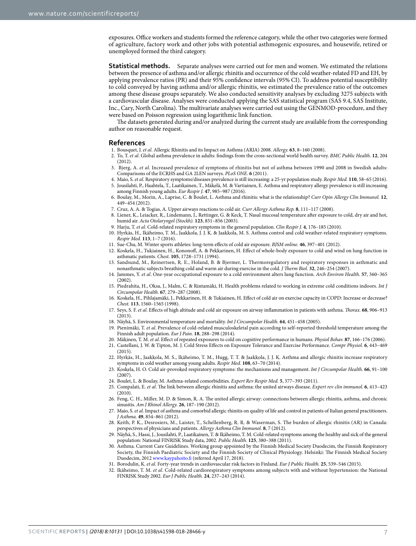exposures. Office workers and students formed the reference category, while the other two categories were formed of agriculture, factory work and other jobs with potential asthmogenic exposures, and housewife, retired or unemployed formed the third category.

**Statistical methods.** Separate analyses were carried out for men and women. We estimated the relations between the presence of asthma and/or allergic rhinitis and occurrence of the cold weather-related FD and EH, by applying prevalence ratios (PR) and their 95% confdence intervals (95% CI). To address potential susceptibility to cold conveyed by having asthma and/or allergic rhinitis, we estimated the prevalence ratio of the outcomes among these disease groups separately. We also conducted sensitivity analyses by excluding 3275 subjects with a cardiovascular disease. Analyses were conducted applying the SAS statistical program (SAS 9.4, SAS Institute, Inc., Cary, North Carolina). The multivariate analyses were carried out using the GENMOD-procedure, and they were based on Poisson regression using logarithmic link function.

The datasets generated during and/or analyzed during the current study are available from the corresponding author on reasonable request.

#### **References**

- <span id="page-6-0"></span>1. Bousquet, J. *et al*. Allergic Rhinitis and its Impact on Asthma (ARIA) 2008. *Allergy.* **63**, 8–160 (2008).
- <span id="page-6-1"></span>2. To, T. *et al*. Global asthma prevalence in adults: fndings from the cross-sectional world health survey. *BMC Public Health.* **12**, 204 (2012).
- <span id="page-6-2"></span>3. Bjerg, A. *et al*. Increased prevalence of symptoms of rhinitis but not of asthma between 1990 and 2008 in Swedish adults: Comparisons of the ECRHS and GA 2LEN surveys. *PLoS ONE*. **6** (2011).
- <span id="page-6-4"></span><span id="page-6-3"></span>4. Maio, S. *et al*. Respiratory symptoms/diseases prevalence is still increasing: a 25-yr population study. *Respir Med.* **110**, 58–65 (2016). 5. Jousilahti, P., Haahtela, T., Laatikainen, T., Mäkelä, M. & Vartiainen, E. Asthma and respiratory allergy prevalence is still increasing among Finnish young adults. *Eur Respir J.* **47**, 985–987 (2016).
- <span id="page-6-5"></span>6. Boulay, M., Morin, A., Laprise, C. & Boulet, L. Asthma and rhinitis: what is the relationship? *Curr Opin Allergy Clin Immunol.* **12**, 449–454 (2012).
- <span id="page-6-6"></span>7. Cruz, A. A. & Togias, A. Upper airways reactions to cold air. *Curr Allergy Asthma Rep.* **8**, 111–117 (2008).
- <span id="page-6-7"></span>8. Liener, K., Leiacker, R., Lindemann, J., Rettinger, G. & Keck, T. Nasal mucosal temperature afer exposure to cold, dry air and hot, humid air. *Acta Otolaryngol (Stockh).* **123**, 851–856 (2003).
- <span id="page-6-8"></span>9. Harju, T. *et al*. Cold-related respiratory symptoms in the general population. *Clin Respir J.* **4**, 176–185 (2010).
- <span id="page-6-9"></span>10. Hyrkäs, H., Ikäheimo, T. M., Jaakkola, J. J. K. & Jaakkola, M. S. Asthma control and cold weather-related respiratory symptoms. *Respir Med.* **113**, 1–7 (2016).
- <span id="page-6-10"></span>11. Sue-Chu, M. Winter sports athletes: long-term efects of cold air exposure. *BJSM online.* **46**, 397–401 (2012).
- <span id="page-6-11"></span>12. Koskela, H., Tukiainen, H., Kononoff, A. & Pekkarinen, H. Effect of whole-body exposure to cold and wind on lung function in asthmatic patients. *Chest.* **105**, 1728–1731 (1994).
- <span id="page-6-12"></span>13. Sandsund, M., Reinertsen, R. E., Holand, B. & Bjermer, L. Thermoregulatory and respiratory responses in asthmatic and nonasthmatic subjects breathing cold and warm air during exercise in the cold. *J Therm Biol.* **32**, 246-254 (2007).
- <span id="page-6-13"></span>14. Jammes, Y. *et al*. One-year occupational exposure to a cold environment alters lung function. *Arch Environ Health.* **57**, 360–365 (2002).
- <span id="page-6-14"></span>15. Piedrahita, H., Oksa, J., Malm, C. & Rintamäki, H. Health problems related to working in extreme cold conditions indoors. *Int J Circumpolar Health.* **67**, 279–287 (2008).
- <span id="page-6-15"></span>16. Koskela, H., Pihlajamäki, J., Pekkarinen, H. & Tukiainen, H. Efect of cold air on exercise capacity in COPD: Increase or decrease? *Chest.* **113**, 1560–1565 (1998).
- <span id="page-6-16"></span>17. Seys, S. F. *et al*. Efects of high altitude and cold air exposure on airway infammation in patients with asthma. *Torax.* **68**, 906–913 (2013).
- <span id="page-6-17"></span>18. Näyhä, S. Environmental temperature and mortality. *Int J Circumpolar Health.* **64**, 451–458 (2005).
- <span id="page-6-18"></span>19. Pienimäki, T. *et al*. Prevalence of cold-related musculoskeletal pain according to self-reported threshold temperature among the Finnish adult population. *Eur J Pain.* **18**, 288–298 (2014).
- <span id="page-6-20"></span><span id="page-6-19"></span>20. Mäkinen, T. M. *et al*. Efect of repeated exposures to cold on cognitive performance in humans. *Physiol Behav.* **87**, 166–176 (2006). 21. Castellani, J. W. & Tipton, M. J. Cold Stress Efects on Exposure Tolerance and Exercise Performance. *Compr Physiol.* **6**, 443–469
- <span id="page-6-21"></span>(2015). 22. Hyrkäs, H., Jaakkola, M. S., Ikäheimo, T. M., Hugg, T. T. & Jaakkola, J. J. K. Asthma and allergic rhinitis increase respiratory symptoms in cold weather among young adults. *Respir Med.* **108**, 63–70 (2014).
- <span id="page-6-22"></span>23. Koskela, H. O. Cold air-provoked respiratory symptoms: the mechanisms and management. *Int J Circumpolar Health.* **66**, 91–100 (2007).
- <span id="page-6-23"></span>24. Boulet, L. & Boulay, M. Asthma-related comorbidities. *Expert Rev Respir Med.* **5**, 377–393 (2011).
- <span id="page-6-24"></span>25. Compalati, E. et al. The link between allergic rhinitis and asthma: the united airways disease. *Expert rev clin immunol*. **6**, 413-423 (2010).
- <span id="page-6-25"></span>26. Feng, C. H., Miller, M. D. & Simon, R. A. Te united allergic airway: connections between allergic rhinitis, asthma, and chronic sinusitis. *Am J Rhinol Allergy.* **26**, 187–190 (2012).
- <span id="page-6-26"></span>27. Maio, S. *et al*. Impact of asthma and comorbid allergic rhinitis on quality of life and control in patients of Italian general practitioners. *J Asthma.* **49**, 854–861 (2012).
- <span id="page-6-27"></span>28. Keith, P. K., Desrosiers, M., Laister, T., Schellenberg, R. R. & Waserman, S. The burden of allergic rhinitis (AR) in Canada: perspectives of physicians and patients. *Allergy Asthma Clin Immunol.* **8**, 7 (2012).
- <span id="page-6-28"></span>29. Näyhä, S., Hassi, J., Jousilahti, P., Laatikainen, T. & Ikäheimo, T. M. Cold-related symptoms among the healthy and sick of the general population: National FINRISK Study data, 2002. *Public Health.* **125**, 380–388 (2011).
- <span id="page-6-29"></span>30. Asthma. Current Care Guidelines. Working group appointed by the Finnish Medical Society Duodecim, the Finnish Respiratory Society, the Finnish Paediatric Society and the Finnish Society of Clinical Physiology. Helsinki: The Finnish Medical Society Duodecim, 2012 [www.kaypahoito.f](http://www.kaypahoito.fi)i (referred April 17, 2018).
- <span id="page-6-30"></span>31. Borodulin, K. *et al*. Forty-year trends in cardiovascular risk factors in Finland. *Eur J Public Health.* **25**, 539–546 (2015).
- <span id="page-6-31"></span>32. Ikäheimo, T. M. *et al*. Cold-related cardiorespiratory symptoms among subjects with and without hypertension: the National FINRISK Study 2002. *Eur J Public Health.* **24**, 237–243 (2014).